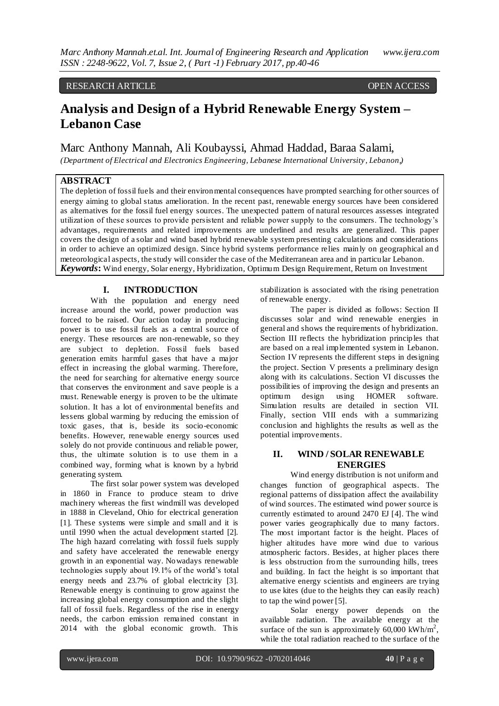## RESEARCH ARTICLE OPEN ACCESS

# **Analysis and Design of a Hybrid Renewable Energy System – Lebanon Case**

# Marc Anthony Mannah, Ali Koubayssi, Ahmad Haddad, Baraa Salami,

*(Department of Electrical and Electronics Engineering, Lebanese International University, Lebanon,)*

# **ABSTRACT**

The depletion of fossil fuels and their environmental consequences have prompted searching for other sources of energy aiming to global status amelioration. In the recent past, renewable energy sources have been considered as alternatives for the fossil fuel energy sources. The unexpected pattern of natural resources assesses integrated utilization of these sources to provide persistent and reliable power supply to the consumers. The technology's advantages, requirements and related improvements are underlined and results are generalized. This paper covers the design of a solar and wind based hybrid renewable system presenting calculations and considerations in order to achieve an optimized design. Since hybrid systems performance relies mainly on geographical an d meteorological aspects, the study will consider the case of the Mediterranean area and in particular Lebanon. *Keywords***:** Wind energy, Solar energy, Hybridization, Optimum Design Requirement, Return on Investment

## **I. INTRODUCTION**

With the population and energy need increase around the world, power production was forced to be raised. Our action today in producing power is to use fossil fuels as a central source of energy. These resources are non-renewable, so they are subject to depletion. Fossil fuels based generation emits harmful gases that have a major effect in increasing the global warming. Therefore, the need for searching for alternative energy source that conserves the environment and save people is a must. Renewable energy is proven to be the ultimate solution. It has a lot of environmental benefits and lessens global warming by reducing the emission of toxic gases, that is, beside its socio-economic benefits. However, renewable energy sources used solely do not provide continuous and reliable power, thus, the ultimate solution is to use them in a combined way, forming what is known by a hybrid generating system.

The first solar power system was developed in 1860 in France to produce steam to drive machinery whereas the first windmill was developed in 1888 in Cleveland, Ohio for electrical generation [1]. These systems were simple and small and it is until 1990 when the actual development started [2]. The high hazard correlating with fossil fuels supply and safety have accelerated the renewable energy growth in an exponential way. Nowadays renewable technologies supply about 19.1% of the world's total energy needs and 23.7% of global electricity [3]. Renewable energy is continuing to grow against the increasing global energy consumption and the slight fall of fossil fuels. Regardless of the rise in energy needs, the carbon emission remained constant in 2014 with the global economic growth. This

stabilization is associated with the rising penetration of renewable energy.

The paper is divided as follows: Section II discusses solar and wind renewable energies in general and shows the requirements of hybridization. Section III reflects the hybridization principles that are based on a real implemented system in Lebanon. Section IV represents the different steps in designing the project. Section V presents a preliminary design along with its calculations. Section VI discusses the possibilities of improving the design and presents an optimum design using HOMER software. Simulation results are detailed in section VII. Finally, section VIII ends with a summarizing conclusion and highlights the results as well as the potential improvements.

# **II. WIND / SOLAR RENEWABLE ENERGIES**

Wind energy distribution is not uniform and changes function of geographical aspects. The regional patterns of dissipation affect the availability of wind sources. The estimated wind power source is currently estimated to around 2470 EJ [4]. The wind power varies geographically due to many factors. The most important factor is the height. Places of higher altitudes have more wind due to various atmospheric factors. Besides, at higher places there is less obstruction from the surrounding hills, trees and building. In fact the height is so important that alternative energy scientists and engineers are trying to use kites (due to the heights they can easily reach) to tap the wind power [5].

Solar energy power depends on the available radiation. The available energy at the surface of the sun is approximately  $60,000$  kWh/m<sup>2</sup>, while the total radiation reached to the surface of the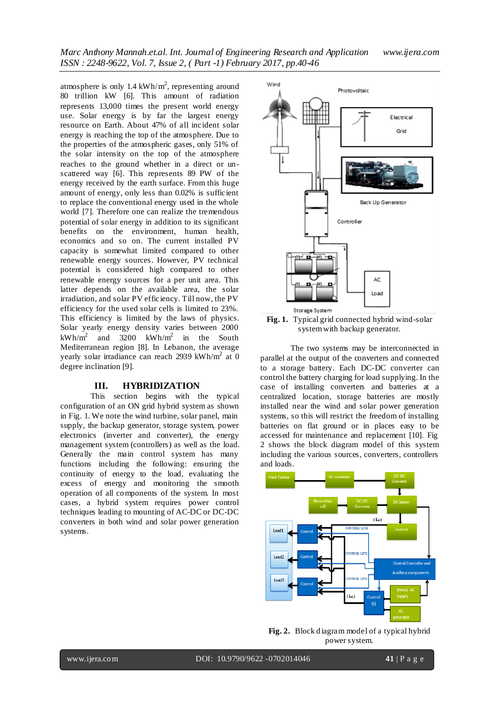atmosphere is only 1.4  $kWh/m^2$ , representing around 80 trillion kW [6]. This amount of radiation represents 13,000 times the present world energy use. Solar energy is by far the largest energy resource on Earth. About 47% of all incident solar energy is reaching the top of the atmosphere. Due to the properties of the atmospheric gases, only 51% of the solar intensity on the top of the atmosphere reaches to the ground whether in a direct or unscattered way [6]. This represents 89 PW of the energy received by the earth surface. From this huge amount of energy, only less than 0.02% is sufficient to replace the conventional energy used in the whole world [7]. Therefore one can realize the tremendous potential of solar energy in addition to its significant benefits on the environment, human health, economics and so on. The current installed PV capacity is somewhat limited compared to other renewable energy sources. However, PV technical potential is considered high compared to other renewable energy sources for a per unit area. This latter depends on the available area, the solar irradiation, and solar PV efficiency. Till now, the PV efficiency for the used solar cells is limited to 23%. This efficiency is limited by the laws of physics. Solar yearly energy density varies between 2000 kWh/m<sup>2</sup> and 3200 kWh/m<sup>2</sup> in the South Mediterranean region [8]. In Lebanon, the average yearly solar irradiance can reach 2939 kWh/m<sup>2</sup> at 0 degree inclination [9].

#### **III. HYBRIDIZATION**

This section begins with the typical configuration of an ON grid hybrid system as shown in Fig. 1. We note the wind turbine, solar panel, main supply, the backup generator, storage system, power electronics (inverter and converter), the energy management system (controllers) as well as the load. Generally the main control system has many functions including the following: ensuring the continuity of energy to the load, evaluating the excess of energy and monitoring the smooth operation of all components of the system. In most cases, a hybrid system requires power control techniques leading to mounting of AC-DC or DC-DC converters in both wind and solar power generation systems.



**Fig. 1.** Typical grid connected hybrid wind-solar system with backup generator.

The two systems may be interconnected in parallel at the output of the converters and connected to a storage battery. Each DC-DC converter can control the battery charging for load supplying. In the case of installing converters and batteries at a centralized location, storage batteries are mostly installed near the wind and solar power generation systems, so this will restrict the freedom of installing batteries on flat ground or in places easy to be accessed for maintenance and replacement [10]. Fig 2 shows the block diagram model of this system including the various sources, converters, controllers and loads.



**Fig. 2.** Block diagram model of a typical hybrid power system.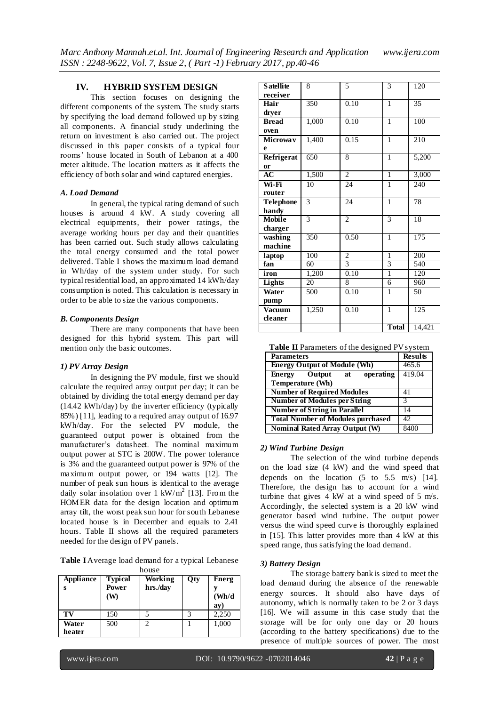## **IV. HYBRID SYSTEM DESIGN**

This section focuses on designing the different components of the system. The study starts by specifying the load demand followed up by sizing all components. A financial study underlining the return on investment is also carried out. The project discussed in this paper consists of a typical four rooms' house located in South of Lebanon at a 400 meter altitude. The location matters as it affects the efficiency of both solar and wind captured energies.

## *A. Load Demand*

In general, the typical rating demand of such houses is around 4 kW. A study covering all electrical equipments, their power ratings, the average working hours per day and their quantities has been carried out. Such study allows calculating the total energy consumed and the total power delivered. Table I shows the maximum load demand in Wh/day of the system under study. For such typical residential load, an approximated 14 kWh/day consumption is noted. This calculation is necessary in order to be able to size the various components.

#### *B. Components Design*

There are many components that have been designed for this hybrid system. This part will mention only the basic outcomes.

## *1) PV Array Design*

In designing the PV module, first we should calculate the required array output per day; it can be obtained by dividing the total energy demand per day (14.42 kWh/day) by the inverter efficiency (typically 85%) [11], leading to a required array output of 16.97 kWh/day. For the selected PV module, the guaranteed output power is obtained from the manufacturer's datasheet. The nominal maximum output power at STC is 200W. The power tolerance is 3% and the guaranteed output power is 97% of the maximum output power, or 194 watts [12]. The number of peak sun hours is identical to the average daily solar insolation over 1 kW/ $m^2$  [13]. From the HOMER data for the design location and optimum array tilt, the worst peak sun hour for south Lebanese located house is in December and equals to 2.41 hours. Table II shows all the required parameters needed for the design of PV panels.

**Table I** Average load demand for a typical Lebanese house

| Appliance       | 110 U.S.V<br><b>Typical</b><br>Working<br>Qty<br><b>Energ</b> |          |   |                                   |  |  |  |  |
|-----------------|---------------------------------------------------------------|----------|---|-----------------------------------|--|--|--|--|
| s               | Power<br>(W)                                                  | hrs./day |   | $(\mathbf{Wh}/\mathbf{d})$<br>ay) |  |  |  |  |
| TV              | 150                                                           |          | 3 | 2,250                             |  |  |  |  |
| Water<br>heater | 500                                                           | 2        |   | 1,000                             |  |  |  |  |

| <b>Satellite</b>              | 8                        | 5              | 3              | 120    |
|-------------------------------|--------------------------|----------------|----------------|--------|
| receiver                      |                          |                |                |        |
| Hair                          | 350                      | 0.10           | $\mathbf{1}$   | 35     |
| dryer                         |                          |                |                |        |
| <b>Bread</b>                  | 1,000                    | 0.10           | ī              | 100    |
| oven                          |                          |                |                |        |
| <b>Microway</b>               | 1,400                    | 0.15           | $\overline{1}$ | 210    |
| e                             |                          |                |                |        |
| Refrigerat                    | 650                      | 8              | $\mathbf{1}$   | 5,200  |
| <b>or</b>                     |                          |                |                |        |
| AC                            | 1,500                    | $\overline{c}$ | $\mathbf{1}$   | 3,000  |
| Wi-Fi                         | 10                       | 24             | $\mathbf{1}$   | 240    |
| router                        |                          |                |                |        |
| <b>Telephone</b>              | 3                        | 24             | $\mathbf{1}$   | 78     |
| handy                         |                          |                |                |        |
| <b>Mobile</b>                 | $\overline{\mathcal{E}}$ | $\overline{c}$ | 3              | 18     |
| charger                       |                          |                |                |        |
| washing                       | 350                      | 0.50           | ī              | 175    |
| machine                       |                          |                |                |        |
| laptop                        | 100                      | 2              | 1              | 200    |
| fan                           | 60                       | $\overline{3}$ | 3              | 540    |
| iron                          | 1,200                    | 0.10           | $\mathbf{1}$   | 120    |
| Lights                        | 20                       | 8              | 6              | 960    |
| Water                         | 500                      | 0.10           | $\mathbf{1}$   | 50     |
| pump                          |                          |                |                |        |
| $\overline{\mathbf{V}}$ acuum | 1,250                    | 0.10           | $\mathbf{1}$   | 125    |
| cleaner                       |                          |                |                |        |
|                               |                          |                | <b>Total</b>   | 14,421 |

|  |  | Table II Parameters of the designed PV system |  |  |  |
|--|--|-----------------------------------------------|--|--|--|
|--|--|-----------------------------------------------|--|--|--|

| <b>Parameters</b>                        | <b>Results</b> |
|------------------------------------------|----------------|
| <b>Energy Output of Module (Wh)</b>      | 465.6          |
| operating<br>Output<br>Energy<br>at      | 419.04         |
| Temperature (Wh)                         |                |
| <b>Number of Required Modules</b>        | 41             |
| <b>Number of Modules per String</b>      | 3              |
| <b>Number of String in Parallel</b>      | 14             |
| <b>Total Number of Modules purchased</b> | 42             |
| <b>Nominal Rated Array Output (W)</b>    | 8400           |

#### *2) Wind Turbine Design*

The selection of the wind turbine depends on the load size (4 kW) and the wind speed that depends on the location  $(5 \text{ to } 5.5 \text{ m/s})$  [14]. Therefore, the design has to account for a wind turbine that gives 4 kW at a wind speed of 5 m/s. Accordingly, the selected system is a 20 kW wind generator based wind turbine. The output power versus the wind speed curve is thoroughly explained in [15]. This latter provides more than 4 kW at this speed range, thus satisfying the load demand.

#### *3) Battery Design*

The storage battery bank is sized to meet the load demand during the absence of the renewable energy sources. It should also have days of autonomy, which is normally taken to be 2 or 3 days [16]. We will assume in this case study that the storage will be for only one day or 20 hours (according to the battery specifications) due to the presence of multiple sources of power. The most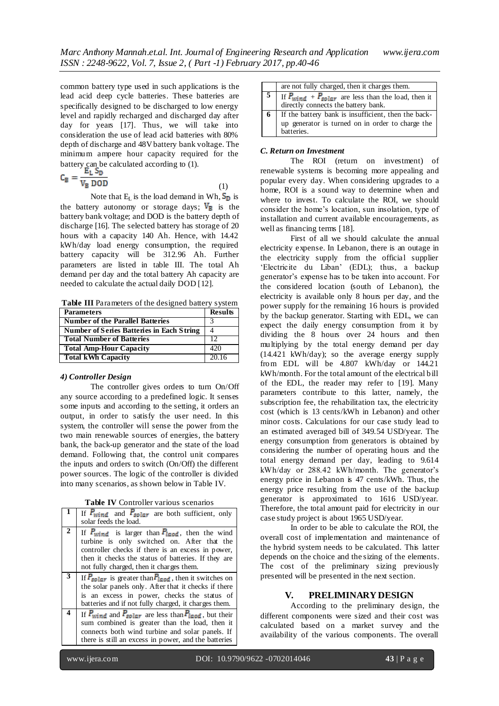(1)

common battery type used in such applications is the lead acid deep cycle batteries. These batteries are specifically designed to be discharged to low energy level and rapidly recharged and discharged day after day for years [17]. Thus, we will take into consideration the use of lead acid batteries with 80% depth of discharge and 48V battery bank voltage. The minimum ampere hour capacity required for the battery can be calculated according to (1).

$$
C_B = \frac{E_L S_D}{V_B DOD}
$$

Note that  $E_L$  is the load demand in Wh,  $S_D$  is the battery autonomy or storage days;  $V_B$  is the battery bank voltage; and DOD is the battery depth of discharge [16]. The selected battery has storage of 20 hours with a capacity 140 Ah. Hence, with 14.42 kWh/day load energy consumption, the required battery capacity will be 312.96 Ah. Further parameters are listed in table III. The total Ah demand per day and the total battery Ah capacity are needed to calculate the actual daily DOD [12].

**Table III** Parameters of the designed battery system

| <b>Parameters</b>                                | <b>Results</b> |
|--------------------------------------------------|----------------|
| <b>Number of the Parallel Batteries</b>          |                |
| <b>Number of Series Batteries in Each String</b> |                |
| <b>Total Number of Batteries</b>                 | 12             |
| <b>Total Amp-Hour Capacity</b>                   | 420            |
| <b>Total kWh Capacity</b>                        | 20.16          |

## *4) Controller Design*

The controller gives orders to turn On/Off any source according to a predefined logic. It senses some inputs and according to the setting, it orders an output, in order to satisfy the user need. In this system, the controller will sense the power from the two main renewable sources of energies, the battery bank, the back-up generator and the state of the load demand. Following that, the control unit compares the inputs and orders to switch (On/Off) the different power sources. The logic of the controller is divided into many scenarios, as shown below in Table IV.

**Table IV** Controller various scenarios

|                  | If $P_{wind}$ and $P_{solar}$ are both sufficient, only<br>solar feeds the load.                                                                                                                                                                               |
|------------------|----------------------------------------------------------------------------------------------------------------------------------------------------------------------------------------------------------------------------------------------------------------|
|                  | If $P_{wind}$ is larger than $P_{lead}$ , then the wind<br>turbine is only switched on. After that the<br>controller checks if there is an excess in power,<br>then it checks the status of batteries. If they are<br>not fully charged, then it charges them. |
| 3                | If $P_{solar}$ is greater than $P_{lead}$ , then it switches on<br>the solar panels only. After that it checks if there<br>is an excess in power, checks the status of<br>batteries and if not fully charged, it charges them.                                 |
| $\boldsymbol{4}$ | If $P_{wind}$ and $P_{solar}$ are less than $P_{lead}$ , but their<br>sum combined is greater than the load, then it<br>connects both wind turbine and solar panels. If<br>there is still an excess in power, and the batteries                                |

| are not fully charged, then it charges them.                |
|-------------------------------------------------------------|
|                                                             |
| If $P_{wind}$ + $P_{solar}$ are less than the load, then it |
| directly connects the battery bank.                         |
| If the battery bank is insufficient, then the back-         |
| up generator is turned on in order to charge the            |
| batteries.                                                  |

## *C. Return on Investment*

The ROI (return on investment) of renewable systems is becoming more appealing and popular every day. When considering upgrades to a home, ROI is a sound way to determine when and where to invest. To calculate the ROI, we should consider the home's location, sun insolation, type of installation and current available encouragements, as well as financing terms [18].

First of all we should calculate the annual electricity expense. In Lebanon, there is an outage in the electricity supply from the official supplier 'Electricite du Liban' (EDL); thus, a backup generator's expense has to be taken into account. For the considered location (south of Lebanon), the electricity is available only 8 hours per day, and the power supply for the remaining 16 hours is provided by the backup generator. Starting with EDL, we can expect the daily energy consumption from it by dividing the 8 hours over 24 hours and then multiplying by the total energy demand per day (14.421 kWh/day); so the average energy supply from EDL will be 4.807 kWh/day or 144.21 kWh/month. For the total amount of the electrical bill of the EDL, the reader may refer to [19]. Many parameters contribute to this latter, namely, the subscription fee, the rehabilitation tax, the electricity cost (which is 13 cents/kWh in Lebanon) and other minor costs. Calculations for our case study lead to an estimated averaged bill of 349.54 USD/year. The energy consumption from generators is obtained by considering the number of operating hours and the total energy demand per day, leading to 9.614 kWh/day or 288.42 kWh/month. The generator's energy price in Lebanon is 47 cents/kWh. Thus, the energy price resulting from the use of the backup generator is approximated to 1616 USD/year. Therefore, the total amount paid for electricity in our case study project is about 1965 USD/year.

In order to be able to calculate the ROI, the overall cost of implementation and maintenance of the hybrid system needs to be calculated. This latter depends on the choice and the sizing of the elements. The cost of the preliminary sizing previously presented will be presented in the next section.

# **V. PRELIMINARY DESIGN**

According to the preliminary design, the different components were sized and their cost was calculated based on a market survey and the availability of the various components. The overall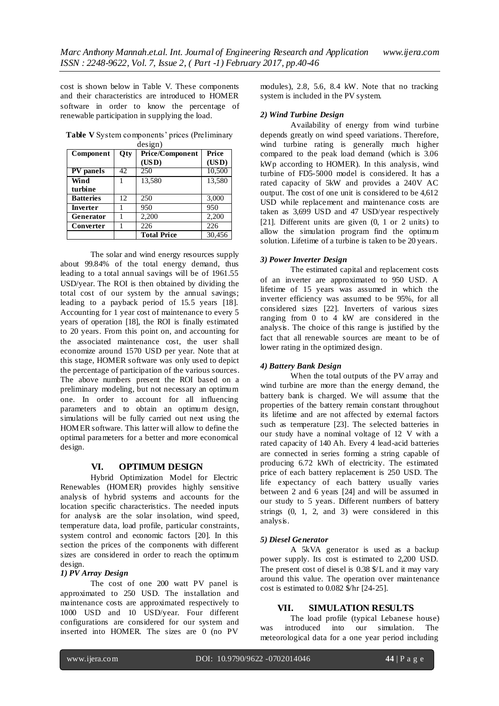cost is shown below in Table V. These components and their characteristics are introduced to HOMER software in order to know the percentage of renewable participation in supplying the load.

**Table V** System components' prices (Preliminary

| design)          |       |                    |        |  |  |  |
|------------------|-------|--------------------|--------|--|--|--|
| Component        | Price |                    |        |  |  |  |
|                  |       | (USD)              | (USD)  |  |  |  |
| <b>PV</b> panels | 42    | 250                | 10,500 |  |  |  |
| Wind             |       | 13.580             | 13.580 |  |  |  |
| turbine          |       |                    |        |  |  |  |
| <b>Batteries</b> | 12    | 250                | 3,000  |  |  |  |
| Inverter         |       | 950                | 950    |  |  |  |
| Generator        |       | 2,200              | 2,200  |  |  |  |
| Converter        |       | 226                | 226    |  |  |  |
|                  |       | <b>Total Price</b> | 30,456 |  |  |  |

The solar and wind energy resources supply about 99.84% of the total energy demand, thus leading to a total annual savings will be of 1961.55 USD/year. The ROI is then obtained by dividing the total cost of our system by the annual savings; leading to a payback period of 15.5 years [18]. Accounting for 1 year cost of maintenance to every 5 years of operation [18], the ROI is finally estimated to 20 years. From this point on, and accounting for the associated maintenance cost, the user shall economize around 1570 USD per year. Note that at this stage, HOMER software was only used to depict the percentage of participation of the various sources. The above numbers present the ROI based on a preliminary modeling, but not necessary an optimum one. In order to account for all influencing parameters and to obtain an optimum design, simulations will be fully carried out next using the HOMER software. This latter will allow to define the optimal parameters for a better and more economical design.

# **VI. OPTIMUM DESIGN**

Hybrid Optimization Model for Electric Renewables (HOMER) provides highly sensitive analysis of hybrid systems and accounts for the location specific characteristics. The needed inputs for analysis are the solar insolation, wind speed, temperature data, load profile, particular constraints, system control and economic factors [20]. In this section the prices of the components with different sizes are considered in order to reach the optimum design.

# *1) PV Array Design*

The cost of one 200 watt PV panel is approximated to 250 USD. The installation and maintenance costs are approximated respectively to 1000 USD and 10 USD/year. Four different configurations are considered for our system and inserted into HOMER. The sizes are 0 (no PV

modules), 2.8, 5.6, 8.4 kW. Note that no tracking system is included in the PV system.

# *2) Wind Turbine Design*

Availability of energy from wind turbine depends greatly on wind speed variations. Therefore, wind turbine rating is generally much higher compared to the peak load demand (which is 3.06 kWp according to HOMER). In this analysis, wind turbine of FD5-5000 model is considered. It has a rated capacity of 5kW and provides a 240V AC output. The cost of one unit is considered to be 4,612 USD while replacement and maintenance costs are taken as 3,699 USD and 47 USD/year respectively [21]. Different units are given (0, 1 or 2 units) to allow the simulation program find the optimum solution. Lifetime of a turbine is taken to be 20 years.

# *3) Power Inverter Design*

The estimated capital and replacement costs of an inverter are approximated to 950 USD. A lifetime of 15 years was assumed in which the inverter efficiency was assumed to be 95%, for all considered sizes [22]. Inverters of various sizes ranging from 0 to 4 kW are considered in the analysis. The choice of this range is justified by the fact that all renewable sources are meant to be of lower rating in the optimized design.

# *4) Battery Bank Design*

When the total outputs of the PV array and wind turbine are more than the energy demand, the battery bank is charged. We will assume that the properties of the battery remain constant throughout its lifetime and are not affected by external factors such as temperature [23]. The selected batteries in our study have a nominal voltage of 12 V with a rated capacity of 140 Ah. Every 4 lead-acid batteries are connected in series forming a string capable of producing 6.72 kWh of electricity. The estimated price of each battery replacement is 250 USD. The life expectancy of each battery usually varies between 2 and 6 years [24] and will be assumed in our study to 5 years. Different numbers of battery strings (0, 1, 2, and 3) were considered in this analysis.

# *5) Diesel Generator*

A 5kVA generator is used as a backup power supply. Its cost is estimated to 2,200 USD. The present cost of diesel is 0.38 \$/L and it may vary around this value. The operation over maintenance cost is estimated to 0.082 \$/hr [24-25].

# **VII. SIMULATION RESULTS**

The load profile (typical Lebanese house) was introduced into our simulation. The meteorological data for a one year period including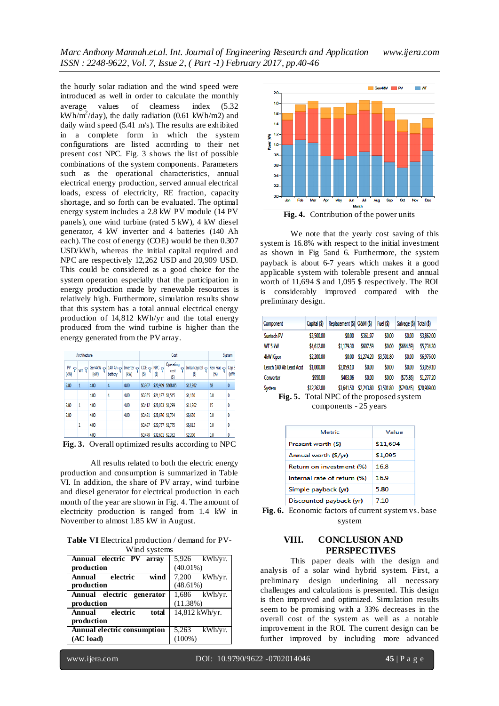the hourly solar radiation and the wind speed were introduced as well in order to calculate the monthly average values of clearness index (5.32 kWh/m<sup>2</sup>/day), the daily radiation (0.61 kWh/m2) and daily wind speed (5.41 m/s). The results are exhibited in a complete form in which the system configurations are listed according to their net present cost NPC. Fig. 3 shows the list of possible combinations of the system components. Parameters such as the operational characteristics, annual electrical energy production, served annual electrical loads, excess of electricity, RE fraction, capacity shortage, and so forth can be evaluated. The optimal energy system includes a 2.8 kW PV module (14 PV panels), one wind turbine (rated 5 kW), 4 kW diesel generator, 4 kW inverter and 4 batteries (140 Ah each). The cost of energy (COE) would be then 0.307 USD/kWh, whereas the initial capital required and NPC are respectively 12,262 USD and 20,909 USD. This could be considered as a good choice for the system operation especially that the participation in energy production made by renewable resources is relatively high. Furthermore, simulation results show that this system has a total annual electrical energy production of 14,812 kWh/yr and the total energy produced from the wind turbine is higher than the energy generated from the PV array.

| Architecture |                      |                                             | Cost    |                                                     |         |                  | System                        |                                                              |     |           |
|--------------|----------------------|---------------------------------------------|---------|-----------------------------------------------------|---------|------------------|-------------------------------|--------------------------------------------------------------|-----|-----------|
| PV<br>(kW)   | $\nabla$ wr $\nabla$ | Gen4kW $\sqrt{ }$ 140 Ah $\sqrt{ }$<br>(kW) | battery | Inverter $\nabla$ COE $\nabla$ NPC $\nabla$<br>(kW) |         | (\$)             | Operating<br>۲<br>cost<br>(S) | Initial capital $\nabla$ Ren Frac $\nabla$ Cap S<br>(\$) (%) |     |           |
| 2.80         | 1                    | 4.00                                        | 4       | 4.00                                                | \$0.307 |                  | \$20,909 \$668.85             | \$12,262                                                     | 68  | $\pmb{0}$ |
|              |                      | 4.00                                        | 4       | 4.00                                                | \$0.355 | \$24,127 \$1,545 |                               | \$4,150                                                      | 0.0 | 0         |
| 2.80         | 1                    | 4.00                                        |         | 4.00                                                | \$0,412 | \$28,053 \$1,299 |                               | \$11.262                                                     | 15  | 0         |
| 2.80         |                      | 4.00                                        |         | 4.00                                                | \$0.421 | \$28,676 \$1,704 |                               | \$6,650                                                      | 0.0 | 0         |
|              | 1                    | 4.00                                        |         |                                                     | \$0.437 | \$29,757 \$1,775 |                               | \$6,812                                                      | 0.0 | 0         |
|              |                      | 4.00                                        |         |                                                     | \$0,479 | \$32,601 \$2,352 |                               | \$2,200                                                      | 0.0 | 0         |

**Fig. 3.** Overall optimized results according to NPC

All results related to both the electric energy production and consumption is summarized in Table VI. In addition, the share of PV array, wind turbine and diesel generator for electrical production in each month of the year are shown in Fig. 4. The amount of electricity production is ranged from 1.4 kW in November to almost 1.85 kW in August.

**Table VI** Electrical production / demand for PV-Wind systems

| Annual electric PV array    | $5.926$ kWh/yr.       |
|-----------------------------|-----------------------|
| production                  | $(40.01\%)$           |
| wind<br>Annual electric     | $7,200 \quad$ kWh/yr. |
| production                  | $(48.61\%)$           |
| Annual electric generator   | $1,686$ kWh/yr.       |
| production                  | (11.38%)              |
| Annual electric<br>total    | 14,812 kWh/yr.        |
| production                  |                       |
| Annual electric consumption | 5,263 kWh/yr.         |
| (AC load)                   | $(100\%)$             |



**Fig. 4.** Contribution of the power units

We note that the yearly cost saving of this system is 16.8% with respect to the initial investment as shown in Fig 5and 6. Furthermore, the system payback is about 6-7 years which makes it a good applicable system with tolerable present and annual worth of 11,694 \$ and 1,095 \$ respectively. The ROI is considerably improved compared with the preliminary design.

| Component                               | Capital (\$) | Replacement (\$) O&M (\$) |            | Fuel (\$)  | Salvage (\$) Total (\$) |             |
|-----------------------------------------|--------------|---------------------------|------------|------------|-------------------------|-------------|
| <b>Suntech PV</b>                       | \$3,500.00   | \$0.00                    | \$361.97   | \$0.00     | \$0.00                  | \$3,862.00  |
| WT <sub>5</sub> kW                      | \$4,612.00   | \$1.179.30                | \$607.59   | \$0.00     | (5664.59)               | \$5.734.30  |
| <b>4kW Kipor</b>                        | \$2,200.00   | \$0.00                    | \$1,274.20 | \$3,501.80 | \$0.00                  | \$6,976.00  |
| Leoch 140 Ah Lead Acid                  | \$1,000.00   | \$2,059.10                | \$0.00     | \$0.00     | \$0.00                  | \$3,059.10  |
| Converter                               | \$950.00     | \$403.06                  | \$0.00     | \$0.00     | (575.86)                | \$1,277.20  |
| <b>System</b>                           | \$12,262.00  | \$3,641.50                | \$2,243.80 | \$3,501.80 | (5740.45)               | \$20,909.00 |
| Total NDC of the proposed system<br>Бία |              |                           |            |            |                         |             |

**Fig. 5.** Total NPC of the proposed system components - 25 years

| Metric                      | Value    |
|-----------------------------|----------|
| Present worth (\$)          | \$11,694 |
| Annual worth (\$/yr)        | \$1,095  |
| Return on investment (%)    | 16.8     |
| Internal rate of return (%) | 16.9     |
| Simple payback (yr)         | 5.80     |
| Discounted payback (yr)     | 7.10     |

**Fig. 6.** Economic factors of current system vs. base system

## **VIII. CONCLUSION AND PERSPECTIVES**

This paper deals with the design and analysis of a solar wind hybrid system. First, a preliminary design underlining all necessary challenges and calculations is presented. This design is then improved and optimized. Simulation results seem to be promising with a 33% decreases in the overall cost of the system as well as a notable improvement in the ROI. The current design can be further improved by including more advanced